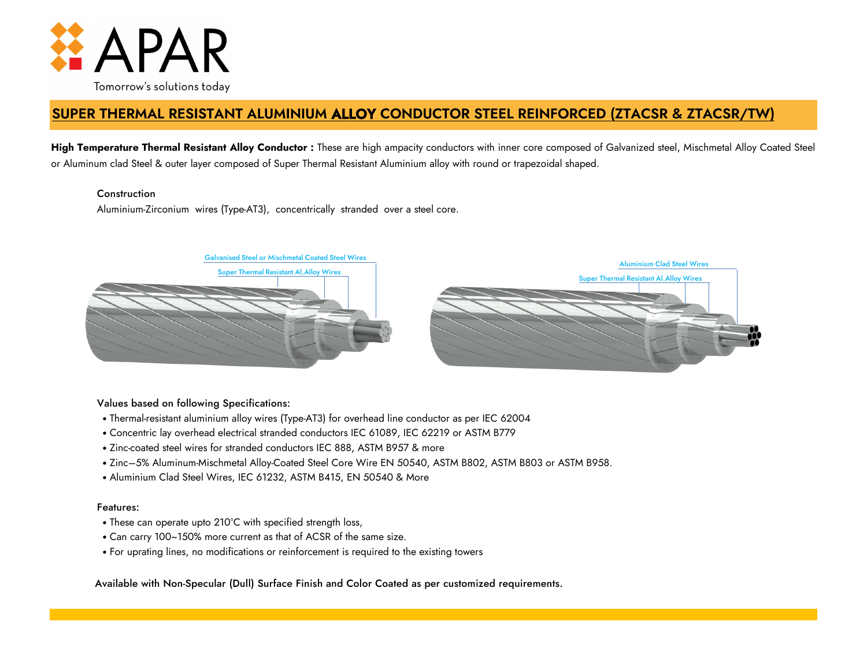

# **SUPER THERMAL RESISTANT ALUMINIUM ALLOY CONDUCTOR STEEL REINFORCED (ZTACSR & ZTACSR/TW)**

**High Temperature Thermal Resistant Alloy Conductor :** These are high ampacity conductors with inner core composed of Galvanized steel, Mischmetal Alloy Coated Steel or Aluminum clad Steel & outer layer composed of Super Thermal Resistant Aluminium alloy with round or trapezoidal shaped.

# **Construction**

Aluminium-Zirconium wires (Type-AT3), concentrically stranded over a steel core.



# Values based on following Specifications:

- Thermal-resistant aluminium alloy wires (Type-AT3) for overhead line conductor as per IEC 62004
- Concentric lay overhead electrical stranded conductors IEC 61089, IEC 62219 or ASTM B779
- Zinc-coated steel wires for stranded conductors IEC 888, ASTM B957 & more
- Zinc–5% Aluminum-Mischmetal Alloy-Coated Steel Core Wire EN 50540, ASTM B802, ASTM B803 or ASTM B958.
- Aluminium Clad Steel Wires, IEC 61232, ASTM B415, EN 50540 & More

## Features:

- These can operate upto 210°C with specified strength loss,
- Can carry 100~150% more current as that of ACSR of the same size.
- For uprating lines, no modifications or reinforcement is required to the existing towers

Available with Non-Specular (Dull) Surface Finish and Color Coated as per customized requirements.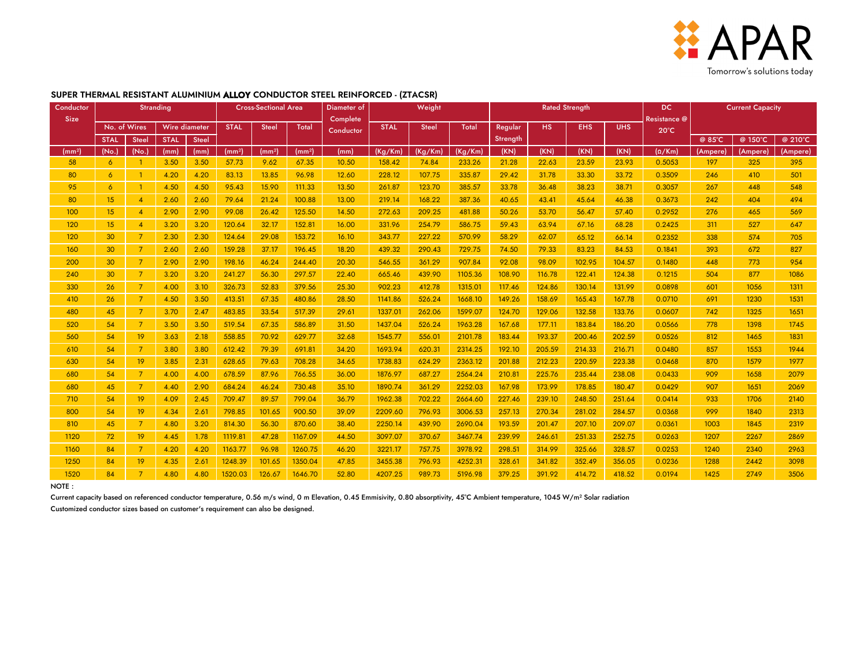

| Conductor                    |                      |                                                                        | <b>Stranding</b>             |                              | <b>Cross-Sectional Area</b>              |                                    |                                          | Diameter of                      | Weight                                   |                                      |                                          |                                      |                                      | <b>Rated Strength</b>                |                                      | <b>DC</b>                            | <b>Current Capacity</b>      |                                                                                                                                              |                              |  |
|------------------------------|----------------------|------------------------------------------------------------------------|------------------------------|------------------------------|------------------------------------------|------------------------------------|------------------------------------------|----------------------------------|------------------------------------------|--------------------------------------|------------------------------------------|--------------------------------------|--------------------------------------|--------------------------------------|--------------------------------------|--------------------------------------|------------------------------|----------------------------------------------------------------------------------------------------------------------------------------------|------------------------------|--|
| <b>Size</b>                  |                      |                                                                        |                              |                              |                                          |                                    |                                          | Complete                         |                                          |                                      |                                          |                                      |                                      |                                      | Resistance @                         |                                      |                              | @ 210°C<br>@ 150°C<br>(Ampere)<br>(Ampere)<br>325<br>395<br>501<br>410<br>548<br>448<br>404<br>494<br>569<br>465<br>527<br>647<br>705<br>574 |                              |  |
|                              | No. of Wires         |                                                                        | Wire diameter                |                              | <b>STAL</b>                              | <b>Steel</b>                       | <b>Total</b>                             | Conductor                        | <b>STAL</b>                              | <b>Steel</b>                         | Total                                    | Regular                              | <b>HS</b>                            | <b>EHS</b>                           | <b>UHS</b>                           | $20^{\circ}$ C                       |                              |                                                                                                                                              |                              |  |
|                              | <b>STAL</b>          | <b>Steel</b>                                                           | <b>STAL</b>                  | <b>Steel</b>                 |                                          |                                    |                                          |                                  |                                          |                                      |                                          | Strength                             |                                      |                                      |                                      |                                      | @ 85°C                       |                                                                                                                                              |                              |  |
| (mm <sup>2</sup> )           | (No.<br>6            | (No.)                                                                  | (mm)                         | (mm)                         | (mm <sup>2</sup> )<br>57.73              | (mm <sup>2</sup> )<br>9.62         | (mm <sup>2</sup> )<br>67.35              | (mm)<br>10.50                    | (Kg/Km)<br>158.42                        | (Kg/Km)<br>74.84                     | (Kg/Km)                                  | (KN)                                 | (KN)<br>22.63                        | (KN)                                 | (KN)<br>23.93                        | $(\Omega/Km)$<br>0.5053              | (Ampere)<br>197              |                                                                                                                                              |                              |  |
| 58                           |                      |                                                                        | 3.50                         | 3.50                         |                                          |                                    |                                          |                                  |                                          |                                      | 233.26                                   | 21.28                                |                                      | 23.59                                |                                      |                                      |                              |                                                                                                                                              |                              |  |
| 80                           | $\overline{6}$       |                                                                        | 4.20                         | 4.20                         | 83.13                                    | 13.85                              | 96.98                                    | 12.60                            | 228.12                                   | 107.75                               | 335.87                                   | 29.42                                | 31.78                                | 33.30                                | 33.72                                | 0.3509                               | 246                          |                                                                                                                                              |                              |  |
| 95                           | $\overline{6}$       |                                                                        | 4.50                         | 4.50                         | 95.43                                    | 15.90                              | 111.33                                   | 13.50                            | 261.87                                   | 123.70                               | 385.57                                   | 33.78                                | 36.48                                | 38.23                                | 38.71                                | 0.3057                               | 267                          |                                                                                                                                              |                              |  |
| 80                           | 15                   | $\overline{A}$                                                         | 2.60                         | 2.60                         | 79.64                                    | 21.24                              | 100.88                                   | 13.00                            | 219.14                                   | 168.22                               | 387.36                                   | 40.65                                | 43.41                                | 45.64                                | 46.38                                | 0.3673                               | 242                          |                                                                                                                                              |                              |  |
| 100                          | 15                   | $\overline{4}$                                                         | 2.90                         | 2.90                         | 99.08                                    | 26.42                              | 125.50                                   | 14.50                            | 272.63                                   | 209.25                               | 481.88                                   | 50.26                                | 53.70                                | 56.47                                | 57.40                                | 0.2952                               | 276                          |                                                                                                                                              |                              |  |
| 120                          | 15                   | $\overline{4}$                                                         | 3.20                         | 3.20                         | 120.64                                   | 32.17                              | 152.81                                   | 16.00                            | 331.96                                   | 254.79                               | 586.75                                   | 59.43                                | 63.94                                | 67.16                                | 68.28                                | 0.2425                               | 311                          |                                                                                                                                              |                              |  |
| 120                          | 30                   | 7 <sup>7</sup>                                                         | 2.30                         | 2.30                         | 124.64                                   | 29.08                              | 153.72                                   | 16.10                            | 343.77                                   | 227.22                               | 570.99                                   | 58.29                                | 62.07                                | 65.12                                | 66.14                                | 0.2352                               | 338                          |                                                                                                                                              |                              |  |
| 160                          | 30                   | 7 <sup>7</sup>                                                         | 2.60                         | 2.60                         | 159.28                                   | 37.17                              | 196.45                                   | 18.20                            | 439.32                                   | 290.43                               | 729.75                                   | 74.50                                | 79.33                                | 83.23                                | 84.53                                | 0.1841                               | 393                          | 672                                                                                                                                          | 827                          |  |
| 200                          | 30                   | $\mathcal{I}$                                                          | 2.90                         | 2.90                         | 198.16                                   | 46.24                              | 244.40                                   | 20.30                            | 546.55                                   | 361.29                               | 907.84                                   | 92.08                                | 98.09                                | 102.95                               | 104.57                               | 0.1480                               | 448                          | 773                                                                                                                                          | 954                          |  |
| 240                          | 30                   | $\overline{7}$                                                         | 3.20                         | 3.20                         | 241.27                                   | 56.30                              | 297.57                                   | 22.40                            | 665.46                                   | 439.90                               | 1105.36                                  | 108.90                               | 116.78                               | 122.41                               | 124.38                               | 0.1215                               | 504                          | 877                                                                                                                                          | 1086                         |  |
| 330                          | 26                   | $\mathcal{I}$                                                          | 4.00                         | 3.10                         | 326.73                                   | 52.83                              | 379.56                                   | 25.30                            | 902.23                                   | 412.78                               | 1315.01                                  | 117.46                               | 124.86                               | 130.14                               | 131.99                               | 0.0898                               | 601                          | 1056                                                                                                                                         | 1311                         |  |
| 410                          | 26                   | $\overline{7}$                                                         | 4.50                         | 3.50                         | 413.51                                   | 67.35                              | 480.86                                   | 28.50                            | 1141.86                                  | 526.24                               | 1668.10                                  | 149.26                               | 158.69                               | 165.43                               | 167.78                               | 0.0710                               | 691                          | 1230                                                                                                                                         | 1531                         |  |
| 480                          | 45                   | $\overline{7}$                                                         | 3.70                         | 2.47                         | 483.85                                   | 33.54                              | 517.39                                   | 29.61                            | 1337.01                                  | 262.06                               | 1599.07                                  | 124.70                               | 129.06                               | 132.58                               | 133.76                               | 0.0607                               | 742                          | 1325                                                                                                                                         | 1651                         |  |
| 520                          | 54                   | $\overline{7}$                                                         | 3.50                         | 3.50                         | 519.54                                   | 67.35                              | 586.89                                   | 31.50                            | 1437.04                                  | 526.24                               | 1963.28                                  | 167.68                               | 177.11                               | 183.84                               | 186.20                               | 0.0566                               | 778                          | 1398                                                                                                                                         | 1745                         |  |
| 560                          | 54                   | 19 <sup>°</sup>                                                        | 3.63                         | 2.18                         | 558.85                                   | 70.92                              | 629.77                                   | 32.68                            | 1545.77                                  | 556.01                               | 2101.78                                  | 183.44                               | 193.37                               | 200.46                               | 202.59                               | 0.0526                               | 812                          | 1465                                                                                                                                         | 1831                         |  |
| 610                          | 54                   | $\overline{7}$                                                         | 3.80                         | 3.80                         | 612.42                                   | 79.39                              | 691.81                                   | 34.20                            | 1693.94                                  | 620.31                               | 2314.25                                  | 192.10                               | 205.59                               | 214.33                               | 216.71                               | 0.0480                               | 857                          | 1553                                                                                                                                         | 1944                         |  |
| 630                          | 54                   | 19 <sup>°</sup>                                                        | 3.85                         | 2.31                         | 628.65                                   | 79.63                              | 708.28                                   | 34.65                            | 1738.83                                  | 624.29                               | 2363.12                                  | 201.88                               | 212.23                               | 220.59                               | 223.38                               | 0.0468                               | 870                          | 1579                                                                                                                                         | 1977                         |  |
| 680                          | 54                   | $\overline{7}$                                                         | 4.00                         | 4.00                         | 678.59                                   | 87.96                              | 766.55                                   | 36.00                            | 1876.97                                  | 687.27                               | 2564.24                                  | 210.81                               | 225.76                               | 235.44                               | 238.08                               | 0.0433                               | 909                          | 1658                                                                                                                                         | 2079                         |  |
| 680                          | 45                   | $\overline{7}$                                                         | 4.40                         | 2.90                         | 684.24                                   | 46.24                              | 730.48                                   | 35.10                            | 1890.74                                  | 361.29                               | 2252.03                                  | 167.98                               | 173.99                               | 178.85                               | 180.47                               | 0.0429                               | 907                          | 1651                                                                                                                                         | 2069                         |  |
| 710                          | 54                   | 19                                                                     | 4.09                         | 2.45                         | 709.47                                   | 89.57                              | 799.04                                   | 36.79                            | 1962.38                                  | 702.22                               | 2664.60                                  | 227.46                               | 239.10                               | 248.50                               | 251.64                               | 0.0414                               | 933                          | 1706                                                                                                                                         | 2140                         |  |
| 800                          | 54                   | 19                                                                     | 4.34                         | 2.61                         | 798.85                                   | 101.65                             | 900.50                                   | 39.09                            | 2209.60                                  | 796.93                               | 3006.53                                  | 257.13                               | 270.34                               | 281.02                               | 284.57                               | 0.0368                               | 999                          | 1840                                                                                                                                         | 2313                         |  |
| 810                          | 45                   | $\overline{7}$                                                         | 4.80                         | 3.20                         | 814.30                                   | 56.30                              | 870.60                                   | 38.40                            | 2250.14                                  | 439.90                               | 2690.04                                  | 193.59                               | 201.47                               | 207.10                               | 209.07                               | 0.0361                               | 1003                         | 1845                                                                                                                                         | 2319                         |  |
|                              |                      |                                                                        |                              |                              |                                          |                                    |                                          |                                  |                                          |                                      |                                          |                                      |                                      |                                      |                                      |                                      |                              |                                                                                                                                              |                              |  |
|                              |                      |                                                                        |                              |                              |                                          |                                    |                                          |                                  |                                          |                                      |                                          |                                      |                                      |                                      |                                      |                                      |                              |                                                                                                                                              |                              |  |
|                              |                      |                                                                        |                              |                              |                                          |                                    |                                          |                                  |                                          |                                      |                                          |                                      |                                      |                                      |                                      |                                      |                              |                                                                                                                                              |                              |  |
|                              |                      |                                                                        |                              |                              |                                          |                                    |                                          |                                  |                                          |                                      |                                          |                                      |                                      |                                      |                                      |                                      |                              |                                                                                                                                              |                              |  |
| 1120<br>1160<br>1250<br>1520 | 72<br>84<br>84<br>84 | 19 <sup>°</sup><br>$\overline{7}$<br>19 <sup>°</sup><br>$\overline{7}$ | 4.45<br>4.20<br>4.35<br>4.80 | 1.78<br>4.20<br>2.61<br>4.80 | 1119.81<br>1163.77<br>1248.39<br>1520.03 | 47.28<br>96.98<br>101.65<br>126.67 | 1167.09<br>1260.75<br>1350.04<br>1646.70 | 44.50<br>46.20<br>47.85<br>52.80 | 3097.07<br>3221.17<br>3455.38<br>4207.25 | 370.67<br>757.75<br>796.93<br>989.73 | 3467.74<br>3978.92<br>4252.31<br>5196.98 | 239.99<br>298.51<br>328.61<br>379.25 | 246.61<br>314.99<br>341.82<br>391.92 | 251.33<br>325.66<br>352.49<br>414.72 | 252.75<br>328.57<br>356.05<br>418.52 | 0.0263<br>0.0253<br>0.0236<br>0.0194 | 1207<br>1240<br>1288<br>1425 | 2267<br>2340<br>2442<br>2749                                                                                                                 | 2869<br>2963<br>3098<br>3506 |  |

## **SUPER THERMAL RESISTANT ALUMINIUM ALLOY CONDUCTOR STEEL REINFORCED - (ZTACSR)**

NOTE :

Current capacity based on referenced conductor temperature, 0.56 m/s wind, 0 m Elevation, 0.45 Emmisivity, 0.80 absorptivity, 45°C Ambient temperature, 1045 W/m<sup>2</sup> Solar radiation

Customized conductor sizes based on customer's requirement can also be designed.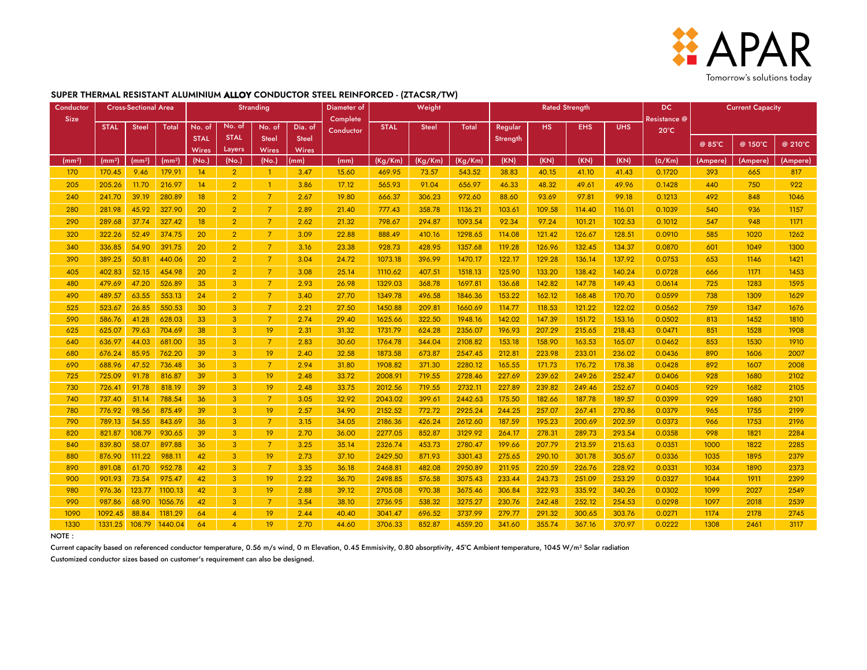

#### **SUPER THERMAL RESISTANT ALUMINIUM ALLOY CONDUCTOR STEEL REINFORCED - (ZTACSR/TW)**

| Conductor   | <b>Cross-Sectional Area</b> |                    |                        | <b>Stranding</b>      |                 |                |               | Diameter of |             | Weight       |         | <b>Rated Strength</b> |        |              |            | <b>DC</b>      | <b>Current Capacity</b> |          |          |  |
|-------------|-----------------------------|--------------------|------------------------|-----------------------|-----------------|----------------|---------------|-------------|-------------|--------------|---------|-----------------------|--------|--------------|------------|----------------|-------------------------|----------|----------|--|
| <b>Size</b> |                             |                    |                        |                       |                 | Complete       |               |             |             |              |         |                       |        | Resistance @ |            |                |                         |          |          |  |
|             | <b>STAL</b>                 | <b>Steel</b>       | Total                  | No. of                | No. of          | No. of         | Dia. of       | Conductor   | <b>STAL</b> | <b>Steel</b> | Total   | Regular               | HS.    | <b>EHS</b>   | <b>UHS</b> | $20^{\circ}$ C |                         |          |          |  |
|             |                             |                    |                        | <b>STAL</b>           | <b>STAL</b>     | <b>Steel</b>   | <b>Steel</b>  |             |             |              |         | Strength              |        |              |            |                | @ 85°C                  | @ 150°C  | @ 210°C  |  |
| (mm²)       | (mm <sup>2</sup> )          | (mm <sup>2</sup> ) | (mm <sup>2</sup> )     | <b>Wires</b><br>(No.) | Layers<br>(No.) | Wires<br>(No.) | Wires<br>(mm) | (mm)        | (Kg/Km)     | (Kg/Km)      | (Kg/Km) | (KN)                  | (KN)   | (KN)         | (KN)       | $(\Omega/Km)$  | (Ampere)                | (Ampere) | (Ampere) |  |
| 170         | 170.45                      | 9.46               | 179.91                 | 14                    | 2 <sup>1</sup>  | -1             | 3.47          | 15.60       | 469.95      | 73.57        | 543.52  | 38.83                 | 40.15  | 41.10        | 41.43      | 0.1720         | 393                     | 665      | 817      |  |
| 205         | 205.26                      | 11.70              | 216.97                 | 14                    | $\overline{2}$  |                | 3.86          | 17.12       | 565.93      | 91.04        | 656.97  | 46.33                 | 48.32  | 49.61        | 49.96      | 0.1428         | 440                     | 750      | 922      |  |
| 240         | 241.70                      | 39.19              | 280.89                 | 18 <sup>°</sup>       | $\overline{2}$  | $\overline{7}$ | 2.67          | 19.80       | 666.37      | 306.23       | 972.60  | 88.60                 | 93.69  | 97.81        | 99.18      | 0.1213         | 492                     | 848      | 1046     |  |
| 280         | 281.98                      | 45.92              | 327.90                 | 20                    | 2 <sup>1</sup>  | $\overline{7}$ | 2.89          | 21.40       | 777.43      | 358.78       | 1136.21 | 103.61                | 109.58 | 114.40       | 116.01     | 0.1039         | 540                     | 936      | 1157     |  |
| 290         | 289.68                      | 37.74              | 327.42                 | 18 <sup>°</sup>       | 2 <sup>1</sup>  | $\overline{7}$ | 2.62          | 21.32       | 798.67      | 294.87       | 1093.54 | 92.34                 | 97.24  | 101.21       | 102.53     | 0.1012         | 547                     | 948      | 1171     |  |
| 320         | 322.26                      | 52.49              | 374.75                 | 20                    | $\overline{2}$  | $\overline{7}$ | 3.09          | 22.88       | 888.49      | 410.16       | 1298.65 | 114.08                | 121.42 | 126.67       | 128.51     | 0.0910         | 585                     | 1020     | 1262     |  |
| 340         | 336.85                      | 54.90              | 391.75                 | 20                    | $\overline{2}$  | $\overline{7}$ | 3.16          | 23.38       | 928.73      | 428.95       | 1357.68 | 119.28                | 126.96 | 132.45       | 134.37     | 0.0870         | 601                     | 1049     | 1300     |  |
| 390         | 389.25                      | 50.81              | 440.06                 | 20                    | 2 <sup>1</sup>  | $\overline{7}$ | 3.04          | 24.72       | 1073.18     | 396.99       | 1470.17 | 122.17                | 129.28 | 136.14       | 137.92     | 0.0753         | 653                     | 1146     | 1421     |  |
| 405         | 402.83                      | 52.15              | 454.98                 | 20                    | 2 <sup>1</sup>  | $\overline{7}$ | 3.08          | 25.14       | 1110.62     | 407.51       | 1518.13 | 125.90                | 133.20 | 138.42       | 140.24     | 0.0728         | 666                     | 1171     | 1453     |  |
| 480         | 479.69                      | 47.20              | 526.89                 | 35                    | 3 <sup>1</sup>  | $\overline{7}$ | 2.93          | 26.98       | 1329.03     | 368.78       | 1697.81 | 136.68                | 142.82 | 147.78       | 149.43     | 0.0614         | 725                     | 1283     | 1595     |  |
| 490         | 489.57                      | 63.55              | 553.13                 | 24                    | 2 <sup>1</sup>  | $\overline{7}$ | 3.40          | 27.70       | 1349.78     | 496.58       | 1846.36 | 153.22                | 162.12 | 168.48       | 170.70     | 0.0599         | 738                     | 1309     | 1629     |  |
| 525         | 523.67                      | 26.85              | 550.53                 | 30                    | 3               | $\overline{7}$ | 2.21          | 27.50       | 1450.88     | 209.81       | 1660.69 | 114.77                | 118.53 | 121.22       | 122.02     | 0.0562         | 759                     | 1347     | 1676     |  |
| 590         | 586.76                      | 41.28              | 628.03                 | 33                    | 3 <sup>1</sup>  | $\overline{7}$ | 2.74          | 29.40       | 1625.66     | 322.50       | 1948.16 | 142.02                | 147.39 | 151.72       | 153.16     | 0.0502         | 813                     | 1452     | 1810     |  |
| 625         | 625.07                      | 79.63              | 704.69                 | 38                    | 3 <sup>1</sup>  | 19             | 2.31          | 31.32       | 1731.79     | 624.28       | 2356.07 | 196.93                | 207.29 | 215.65       | 218.43     | 0.0471         | 851                     | 1528     | 1908     |  |
| 640         | 636.97                      | 44.03              | 681.00                 | 35                    | 3 <sup>1</sup>  | $\overline{7}$ | 2.83          | 30.60       | 1764.78     | 344.04       | 2108.82 | 153.18                | 158.90 | 163.53       | 165.07     | 0.0462         | 853                     | 1530     | 1910     |  |
| 680         | 676.24                      | 85.95              | 762.20                 | 39                    | 3 <sup>1</sup>  | 19             | 2.40          | 32.58       | 1873.58     | 673.87       | 2547.45 | 212.81                | 223.98 | 233.01       | 236.02     | 0.0436         | 890                     | 1606     | 2007     |  |
| 690         | 688.96                      | 47.52              | 736.48                 | 36                    | 3 <sup>1</sup>  | $\overline{7}$ | 2.94          | 31.80       | 1908.82     | 371.30       | 2280.12 | 165.55                | 171.73 | 176.72       | 178.38     | 0.0428         | 892                     | 1607     | 2008     |  |
| 725         | 725.09                      | 91.78              | 816.87                 | 39                    | 3 <sup>1</sup>  | 19             | 2.48          | 33.72       | 2008.91     | 719.55       | 2728.46 | 227.69                | 239.62 | 249.26       | 252.47     | 0.0406         | 928                     | 1680     | 2102     |  |
| 730         | 726.41                      | 91.78              | 818.19                 | 39                    | 3 <sup>1</sup>  | 19             | 2.48          | 33.75       | 2012.56     | 719.55       | 2732.11 | 227.89                | 239.82 | 249.46       | 252.67     | 0.0405         | 929                     | 1682     | 2105     |  |
| 740         | 737.40                      | 51.14              | 788.54                 | 36                    | 3 <sup>1</sup>  | $\overline{7}$ | 3.05          | 32.92       | 2043.02     | 399.61       | 2442.63 | 175.50                | 182.66 | 187.78       | 189.57     | 0.0399         | 929                     | 1680     | 2101     |  |
| 780         | 776.92                      | 98.56              | 875.49                 | 39                    | 3 <sup>1</sup>  | 19             | 2.57          | 34.90       | 2152.52     | 772.72       | 2925.24 | 244.25                | 257.07 | 267.41       | 270.86     | 0.0379         | 965                     | 1755     | 2199     |  |
| 790         | 789.13                      | 54.55              | 843.69                 | 36                    | 3 <sup>1</sup>  | $\overline{7}$ | 3.15          | 34.05       | 2186.36     | 426.24       | 2612.60 | 187.59                | 195.23 | 200.69       | 202.59     | 0.0373         | 966                     | 1753     | 2196     |  |
| 820         | 821.87                      | 108.79             | 930.65                 | 39                    | 3 <sup>1</sup>  | 19             | 2.70          | 36.00       | 2277.05     | 852.87       | 3129.92 | 264.17                | 278.31 | 289.73       | 293.54     | 0.0358         | 998                     | 1821     | 2284     |  |
| 840         | 839.80                      | 58.07              | 897.88                 | 36                    | 3               | $\overline{7}$ | 3.25          | 35.14       | 2326.74     | 453.73       | 2780.47 | 199.66                | 207.79 | 213.59       | 215.63     | 0.0351         | 1000                    | 1822     | 2285     |  |
| 880         |                             | 876.90 111.22      | 988.11                 | 42                    | $3 -$           | 19             | 2.73          | 37.10       | 2429.50     | 871.93       | 3301.43 | 275.65                | 290.10 | 301.78       | 305.67     | 0.0336         | 1035                    | 1895     | 2379     |  |
| 890         | 891.08                      | 61.70              | 952.78                 | 42                    | 3 <sup>1</sup>  | 7              | 3.35          | 36.18       | 2468.81     | 482.08       | 2950.89 | 211.95                | 220.59 | 226.76       | 228.92     | 0.0331         | 1034                    | 1890     | 2373     |  |
| 900         | 901.93                      | 73.54              | 975.47                 | 42                    | 3 <sub>o</sub>  | 19             | 2.22          | 36.70       | 2498.85     | 576.58       | 3075.43 | 233.44                | 243.73 | 251.09       | 253.29     | 0.0327         | 1044                    | 1911     | 2399     |  |
| 980         | 976.36                      | 123.77             | 1100.13                | 42                    | 3 <sub>z</sub>  | 19             | 2.88          | 39.12       | 2705.08     | 970.38       | 3675.46 | 306.84                | 322.93 | 335.92       | 340.26     | 0.0302         | 1099                    | 2027     | 2549     |  |
| 990         | 987.86                      | 68.90              | 1056.76                | 42                    | 3 <sup>2</sup>  | $\overline{7}$ | 3.54          | 38.10       | 2736.95     | 538.32       | 3275.27 | 230.76                | 242.48 | 252.12       | 254.53     | 0.0298         | 1097                    | 2018     | 2539     |  |
| 1090        | 1092.45 88.84               |                    | 1181.29                | 64                    | $\overline{4}$  | 19             | 2.44          | 40.40       | 3041.47     | 696.52       | 3737.99 | 279.77                | 291.32 | 300.65       | 303.76     | 0.0271         | 1174                    | 2178     | 2745     |  |
| 1330        |                             |                    | 1331.25 108.79 1440.04 | 64                    | $\overline{4}$  | 19             | 2.70          | 44.60       | 3706.33     | 852.87       | 4559.20 | 341.60                | 355.74 | 367.16       | 370.97     | 0.0222         | 1308                    | 2461     | 3117     |  |

NOTE :

Current capacity based on referenced conductor temperature, 0.56 m/s wind, 0 m Elevation, 0.45 Emmisivity, 0.80 absorptivity, 45°C Ambient temperature, 1045 W/m<sup>2</sup> Solar radiation Customized conductor sizes based on customer's requirement can also be designed.